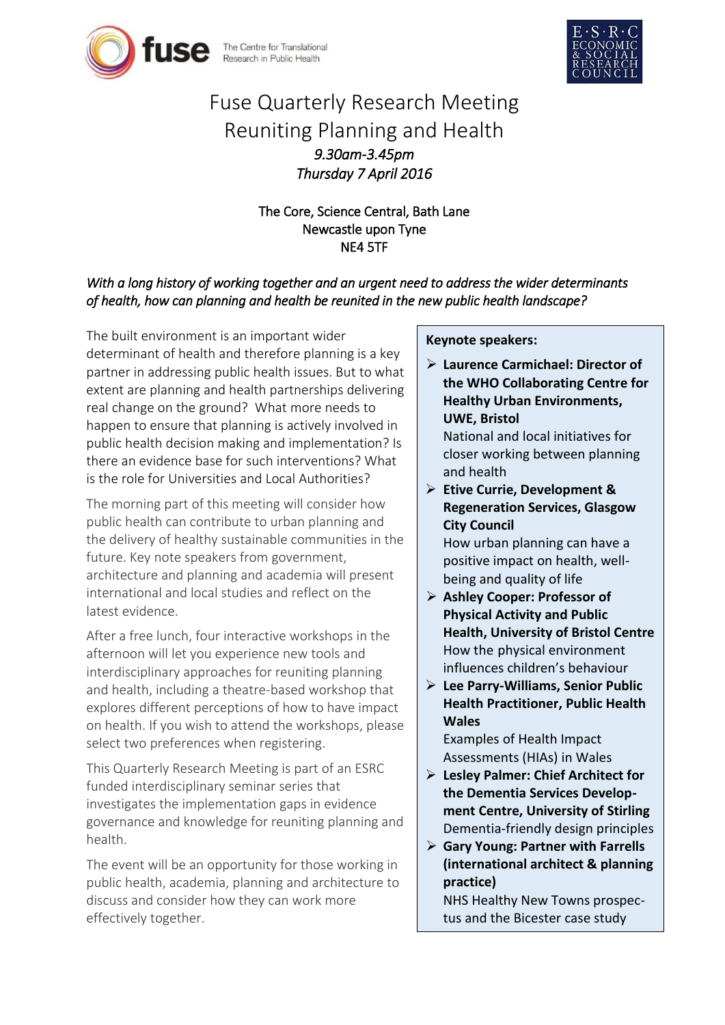



# Fuse Quarterly Research Meeting Reuniting Planning and Health *9.30am-3.45pm Thursday 7 April 2016*

The Core, Science Central, Bath Lane Newcastle upon Tyne NE4 5TF

## *With a long history of working together and an urgent need to address the wider determinants of health, how can planning and health be reunited in the new public health landscape?*

The built environment is an important wider determinant of health and therefore planning is a key partner in addressing public health issues. But to what extent are planning and health partnerships delivering real change on the ground? What more needs to happen to ensure that planning is actively involved in public health decision making and implementation? Is there an evidence base for such interventions? What is the role for Universities and Local Authorities?

The morning part of this meeting will consider how public health can contribute to urban planning and the delivery of healthy sustainable communities in the future. Key note speakers from government, architecture and planning and academia will present international and local studies and reflect on the latest evidence.

After a free lunch, four interactive workshops in the afternoon will let you experience new tools and interdisciplinary approaches for reuniting planning and health, including a theatre-based workshop that explores different perceptions of how to have impact on health. If you wish to attend the workshops, please select two preferences when registering.

This Quarterly Research Meeting is part of an ESRC funded interdisciplinary seminar series that investigates the implementation gaps in evidence governance and knowledge for reuniting planning and health.

The event will be an opportunity for those working in public health, academia, planning and architecture to discuss and consider how they can work more effectively together.

#### **Keynote speakers:**

- **Laurence Carmichael: Director of the WHO Collaborating Centre for Healthy Urban Environments, UWE, Bristol** National and local initiatives for closer working between planning and health
- **Etive Currie, Development & Regeneration Services, Glasgow City Council** How urban planning can have a

positive impact on health, wellbeing and quality of life

- **Ashley Cooper: Professor of Physical Activity and Public Health, University of Bristol Centre** How the physical environment influences children's behaviour
- **Lee Parry-Williams, Senior Public Health Practitioner, Public Health Wales**

Examples of Health Impact Assessments (HIAs) in Wales

- **Lesley Palmer: Chief Architect for the Dementia Services Development Centre, University of Stirling** Dementia-friendly design principles
- **Gary Young: Partner with Farrells (international architect & planning practice)**

NHS Healthy New Towns prospectus and the Bicester case study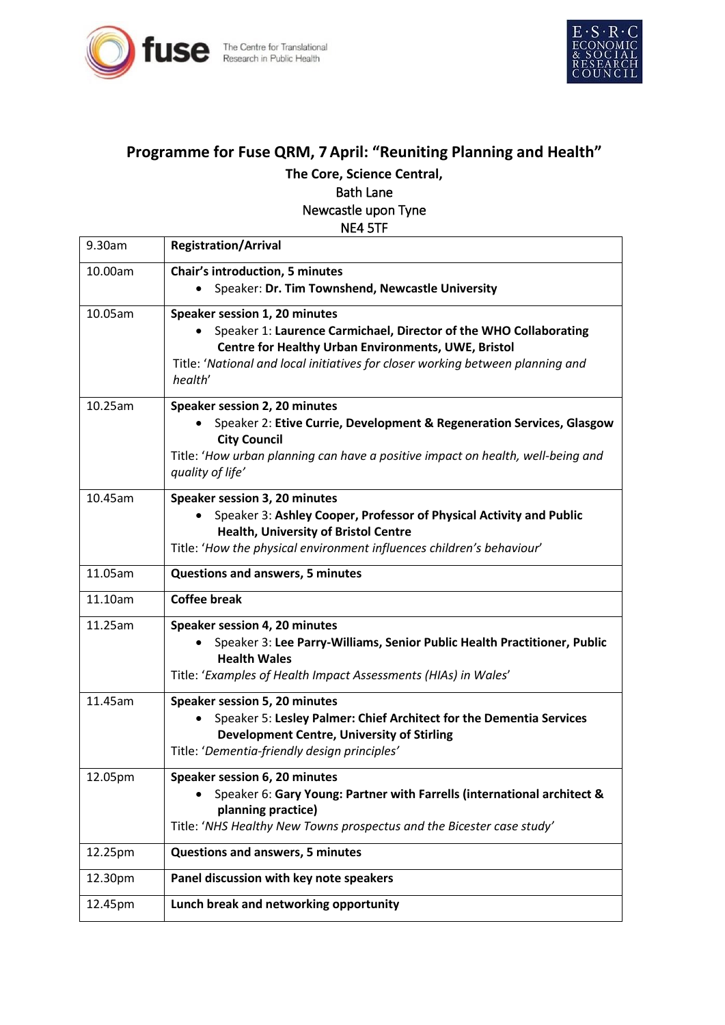



## **Programme for Fuse QRM, 7April: "Reuniting Planning and Health"**

**The Core, Science Central,** 

### Bath Lane Newcastle upon Tyne

NE4 5TF

| 9.30am  | <b>Registration/Arrival</b>                                                                                                                                                                                                                                         |
|---------|---------------------------------------------------------------------------------------------------------------------------------------------------------------------------------------------------------------------------------------------------------------------|
| 10.00am | <b>Chair's introduction, 5 minutes</b><br>Speaker: Dr. Tim Townshend, Newcastle University                                                                                                                                                                          |
| 10.05am | Speaker session 1, 20 minutes<br>Speaker 1: Laurence Carmichael, Director of the WHO Collaborating<br>$\bullet$<br>Centre for Healthy Urban Environments, UWE, Bristol<br>Title: 'National and local initiatives for closer working between planning and<br>health' |
| 10.25am | Speaker session 2, 20 minutes<br>Speaker 2: Etive Currie, Development & Regeneration Services, Glasgow<br><b>City Council</b><br>Title: 'How urban planning can have a positive impact on health, well-being and<br>quality of life'                                |
| 10.45am | Speaker session 3, 20 minutes<br>Speaker 3: Ashley Cooper, Professor of Physical Activity and Public<br><b>Health, University of Bristol Centre</b><br>Title: 'How the physical environment influences children's behaviour'                                        |
| 11.05am | <b>Questions and answers, 5 minutes</b>                                                                                                                                                                                                                             |
| 11.10am | <b>Coffee break</b>                                                                                                                                                                                                                                                 |
| 11.25am | Speaker session 4, 20 minutes<br>Speaker 3: Lee Parry-Williams, Senior Public Health Practitioner, Public<br><b>Health Wales</b><br>Title: 'Examples of Health Impact Assessments (HIAs) in Wales'                                                                  |
| 11.45am | Speaker session 5, 20 minutes<br>Speaker 5: Lesley Palmer: Chief Architect for the Dementia Services<br>$\bullet$<br><b>Development Centre, University of Stirling</b><br>Title: 'Dementia-friendly design principles'                                              |
| 12.05pm | Speaker session 6, 20 minutes<br>Speaker 6: Gary Young: Partner with Farrells (international architect &<br>planning practice)<br>Title: 'NHS Healthy New Towns prospectus and the Bicester case study'                                                             |
| 12.25pm | <b>Questions and answers, 5 minutes</b>                                                                                                                                                                                                                             |
| 12.30pm | Panel discussion with key note speakers                                                                                                                                                                                                                             |
| 12.45pm | Lunch break and networking opportunity                                                                                                                                                                                                                              |